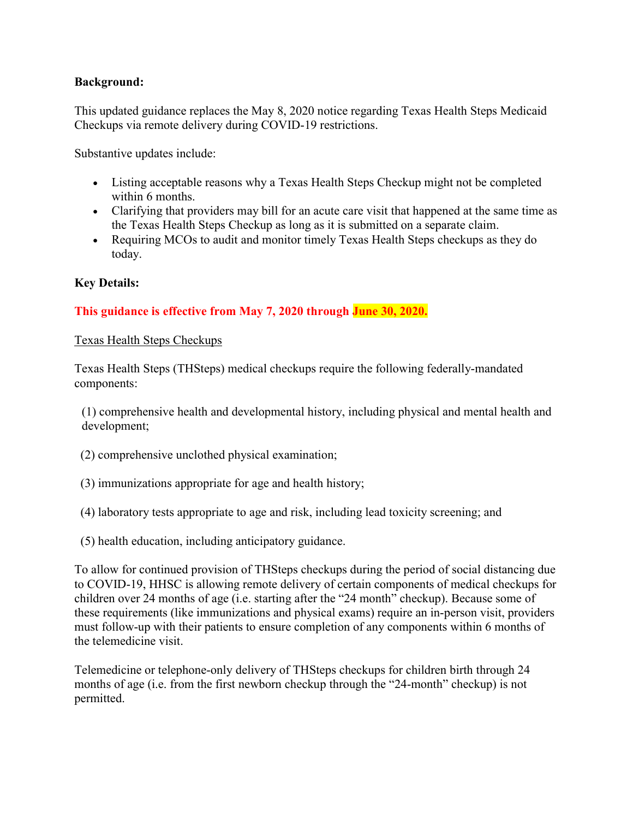## Background:

This updated guidance replaces the May 8, 2020 notice regarding Texas Health Steps Medicaid Checkups via remote delivery during COVID-19 restrictions.

Substantive updates include:

- Listing acceptable reasons why a Texas Health Steps Checkup might not be completed within 6 months.
- Clarifying that providers may bill for an acute care visit that happened at the same time as the Texas Health Steps Checkup as long as it is submitted on a separate claim.
- Requiring MCOs to audit and monitor timely Texas Health Steps checkups as they do today.

# Key Details:

# This guidance is effective from May 7, 2020 through June 30, 2020.

### Texas Health Steps Checkups

Texas Health Steps (THSteps) medical checkups require the following federally-mandated components:

(1) comprehensive health and developmental history, including physical and mental health and development;

- (2) comprehensive unclothed physical examination;
- (3) immunizations appropriate for age and health history;
- (4) laboratory tests appropriate to age and risk, including lead toxicity screening; and
- (5) health education, including anticipatory guidance.

To allow for continued provision of THSteps checkups during the period of social distancing due to COVID-19, HHSC is allowing remote delivery of certain components of medical checkups for children over 24 months of age (i.e. starting after the "24 month" checkup). Because some of these requirements (like immunizations and physical exams) require an in-person visit, providers must follow-up with their patients to ensure completion of any components within 6 months of the telemedicine visit.

Telemedicine or telephone-only delivery of THSteps checkups for children birth through 24 months of age (i.e. from the first newborn checkup through the "24-month" checkup) is not permitted.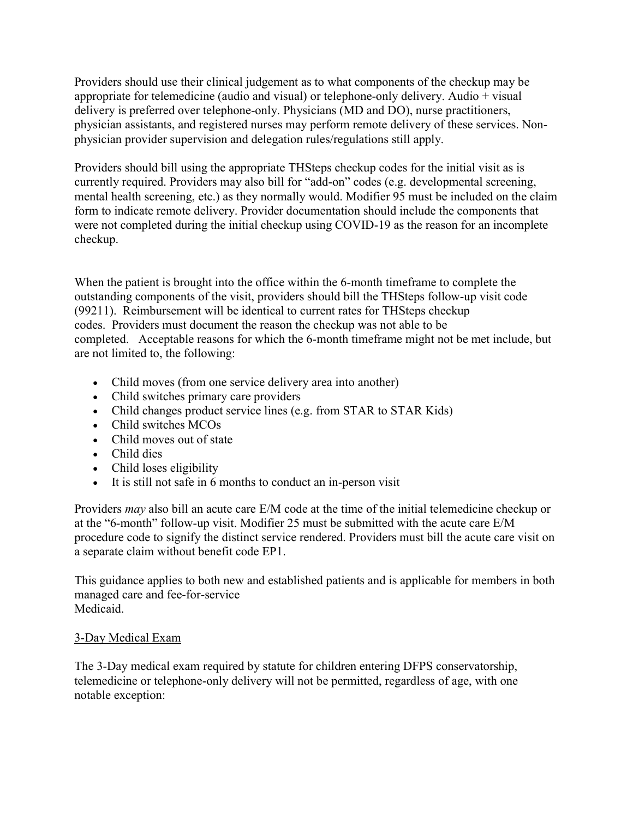Providers should use their clinical judgement as to what components of the checkup may be appropriate for telemedicine (audio and visual) or telephone-only delivery. Audio  $+$  visual delivery is preferred over telephone-only. Physicians (MD and DO), nurse practitioners, physician assistants, and registered nurses may perform remote delivery of these services. Nonphysician provider supervision and delegation rules/regulations still apply.

Providers should bill using the appropriate THSteps checkup codes for the initial visit as is currently required. Providers may also bill for "add-on" codes (e.g. developmental screening, mental health screening, etc.) as they normally would. Modifier 95 must be included on the claim form to indicate remote delivery. Provider documentation should include the components that were not completed during the initial checkup using COVID-19 as the reason for an incomplete checkup.

When the patient is brought into the office within the 6-month timeframe to complete the outstanding components of the visit, providers should bill the THSteps follow-up visit code (99211). Reimbursement will be identical to current rates for THSteps checkup codes. Providers must document the reason the checkup was not able to be completed. Acceptable reasons for which the 6-month timeframe might not be met include, but are not limited to, the following:

- Child moves (from one service delivery area into another)
- Child switches primary care providers
- Child changes product service lines (e.g. from STAR to STAR Kids)
- Child switches MCOs
- Child moves out of state
- Child dies
- Child loses eligibility
- It is still not safe in 6 months to conduct an in-person visit

Providers may also bill an acute care E/M code at the time of the initial telemedicine checkup or at the "6-month" follow-up visit. Modifier 25 must be submitted with the acute care E/M procedure code to signify the distinct service rendered. Providers must bill the acute care visit on a separate claim without benefit code EP1.

This guidance applies to both new and established patients and is applicable for members in both managed care and fee-for-service Medicaid.

## 3-Day Medical Exam

The 3-Day medical exam required by statute for children entering DFPS conservatorship, telemedicine or telephone-only delivery will not be permitted, regardless of age, with one notable exception: